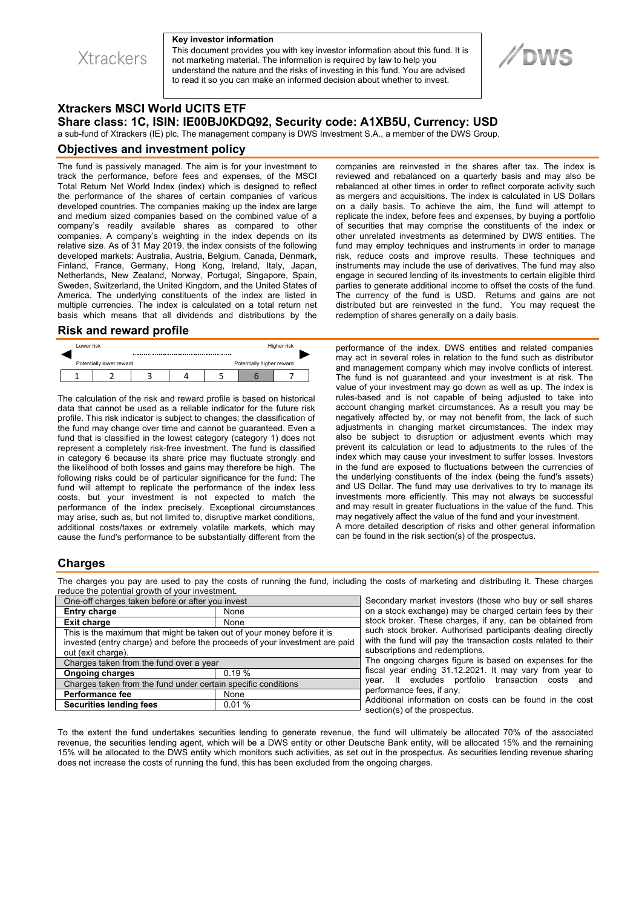**Xtrackers** 

#### **Key investor information**

This document provides you with key investor information about this fund. It is not marketing material. The information is required by law to help you understand the nature and the risks of investing in this fund. You are advised to read it so you can make an informed decision about whether to invest.

# **//DWS**

## **Xtrackers MSCI World UCITS ETF Share class: 1C, ISIN: IE00BJ0KDQ92, Security code: A1XB5U, Currency: USD**

a sub-fund of Xtrackers (IE) plc. The management company is DWS Investment S.A., a member of the DWS Group.

### **Objectives and investment policy**

The fund is passively managed. The aim is for your investment to track the performance, before fees and expenses, of the MSCI Total Return Net World Index (index) which is designed to reflect the performance of the shares of certain companies of various developed countries. The companies making up the index are large and medium sized companies based on the combined value of a company's readily available shares as compared to other companies. A company's weighting in the index depends on its relative size. As of 31 May 2019, the index consists of the following developed markets: Australia, Austria, Belgium, Canada, Denmark, Finland, France, Germany, Hong Kong, Ireland, Italy, Japan, Netherlands, New Zealand, Norway, Portugal, Singapore, Spain, Sweden, Switzerland, the United Kingdom, and the United States of America. The underlying constituents of the index are listed in multiple currencies. The index is calculated on a total return net basis which means that all dividends and distributions by the

### **Risk and reward profile**

| Lower risk                                            |  |  |  |  | Higher risk |  |  |
|-------------------------------------------------------|--|--|--|--|-------------|--|--|
| Potentially lower reward<br>Potentially higher reward |  |  |  |  |             |  |  |
|                                                       |  |  |  |  |             |  |  |

The calculation of the risk and reward profile is based on historical data that cannot be used as a reliable indicator for the future risk profile. This risk indicator is subject to changes; the classification of the fund may change over time and cannot be guaranteed. Even a fund that is classified in the lowest category (category 1) does not represent a completely risk-free investment. The fund is classified in category 6 because its share price may fluctuate strongly and the likelihood of both losses and gains may therefore be high. The following risks could be of particular significance for the fund: The fund will attempt to replicate the performance of the index less costs, but your investment is not expected to match the performance of the index precisely. Exceptional circumstances may arise, such as, but not limited to, disruptive market conditions, additional costs/taxes or extremely volatile markets, which may cause the fund's performance to be substantially different from the

companies are reinvested in the shares after tax. The index is reviewed and rebalanced on a quarterly basis and may also be rebalanced at other times in order to reflect corporate activity such as mergers and acquisitions. The index is calculated in US Dollars on a daily basis. To achieve the aim, the fund will attempt to replicate the index, before fees and expenses, by buying a portfolio of securities that may comprise the constituents of the index or other unrelated investments as determined by DWS entities. The fund may employ techniques and instruments in order to manage risk, reduce costs and improve results. These techniques and instruments may include the use of derivatives. The fund may also engage in secured lending of its investments to certain eligible third parties to generate additional income to offset the costs of the fund. The currency of the fund is USD. Returns and gains are not distributed but are reinvested in the fund. You may request the redemption of shares generally on a daily basis.

performance of the index. DWS entities and related companies may act in several roles in relation to the fund such as distributor and management company which may involve conflicts of interest. The fund is not guaranteed and your investment is at risk. The value of your investment may go down as well as up. The index is rules-based and is not capable of being adjusted to take into account changing market circumstances. As a result you may be negatively affected by, or may not benefit from, the lack of such adjustments in changing market circumstances. The index may also be subject to disruption or adjustment events which may prevent its calculation or lead to adjustments to the rules of the index which may cause your investment to suffer losses. Investors in the fund are exposed to fluctuations between the currencies of the underlying constituents of the index (being the fund's assets) and US Dollar. The fund may use derivatives to try to manage its investments more efficiently. This may not always be successful and may result in greater fluctuations in the value of the fund. This may negatively affect the value of the fund and your investment. A more detailed description of risks and other general information can be found in the risk section(s) of the prospectus.

## **Charges**

The charges you pay are used to pay the costs of running the fund, including the costs of marketing and distributing it. These charges reduce the potential growth of your investment.

| One-off charges taken before or after you invest                            |       |  |  |  |  |
|-----------------------------------------------------------------------------|-------|--|--|--|--|
| <b>Entry charge</b>                                                         | None  |  |  |  |  |
| <b>Exit charge</b>                                                          | None  |  |  |  |  |
| This is the maximum that might be taken out of your money before it is      |       |  |  |  |  |
| invested (entry charge) and before the proceeds of your investment are paid |       |  |  |  |  |
| out (exit charge).                                                          |       |  |  |  |  |
| Charges taken from the fund over a year                                     |       |  |  |  |  |
| <b>Ongoing charges</b>                                                      | 0.19% |  |  |  |  |
| Charges taken from the fund under certain specific conditions               |       |  |  |  |  |
| <b>Performance fee</b>                                                      | None  |  |  |  |  |
| <b>Securities lending fees</b>                                              | 0.01% |  |  |  |  |

Secondary market investors (those who buy or sell shares on a stock exchange) may be charged certain fees by their stock broker. These charges, if any, can be obtained from such stock broker. Authorised participants dealing directly with the fund will pay the transaction costs related to their subscriptions and redemptions.

The ongoing charges figure is based on expenses for the fiscal year ending 31.12.2021. It may vary from year to year. It excludes portfolio transaction costs and performance fees, if any.

Additional information on costs can be found in the cost section(s) of the prospectus.

To the extent the fund undertakes securities lending to generate revenue, the fund will ultimately be allocated 70% of the associated revenue, the securities lending agent, which will be a DWS entity or other Deutsche Bank entity, will be allocated 15% and the remaining 15% will be allocated to the DWS entity which monitors such activities, as set out in the prospectus. As securities lending revenue sharing does not increase the costs of running the fund, this has been excluded from the ongoing charges.